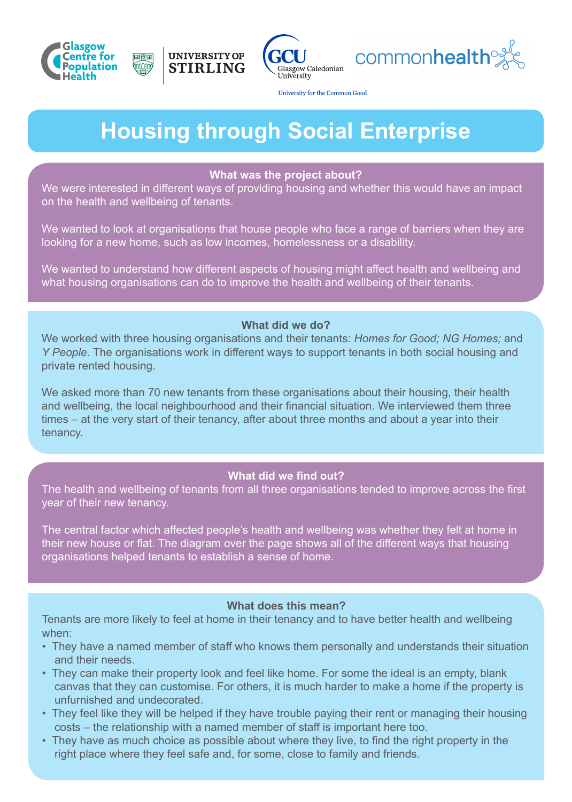







University for the Common Good

# **Housing through Social Enterprise**

#### **What was the project about?**

We were interested in different ways of providing housing and whether this would have an impact on the health and wellbeing of tenants.

We wanted to look at organisations that house people who face a range of barriers when they are looking for a new home, such as low incomes, homelessness or a disability.

We wanted to understand how different aspects of housing might affect health and wellbeing and what housing organisations can do to improve the health and wellbeing of their tenants.

## **What did we do?**

We worked with three housing organisations and their tenants: *Homes for Good; NG Homes;* and *Y People*. The organisations work in different ways to support tenants in both social housing and private rented housing.

We asked more than 70 new tenants from these organisations about their housing, their health and wellbeing, the local neighbourhood and their financial situation. We interviewed them three times – at the very start of their tenancy, after about three months and about a year into their tenancy.

## **What did we find out?**

The health and wellbeing of tenants from all three organisations tended to improve across the first year of their new tenancy.

The central factor which affected people's health and wellbeing was whether they felt at home in their new house or flat. The diagram over the page shows all of the different ways that housing organisations helped tenants to establish a sense of home.

## **What does this mean?**

Tenants are more likely to feel at home in their tenancy and to have better health and wellbeing when:

- They have a named member of staff who knows them personally and understands their situation and their needs.
- They can make their property look and feel like home. For some the ideal is an empty, blank canvas that they can customise. For others, it is much harder to make a home if the property is unfurnished and undecorated.
- They feel like they will be helped if they have trouble paying their rent or managing their housing costs – the relationship with a named member of staff is important here too.
- They have as much choice as possible about where they live, to find the right property in the right place where they feel safe and, for some, close to family and friends.